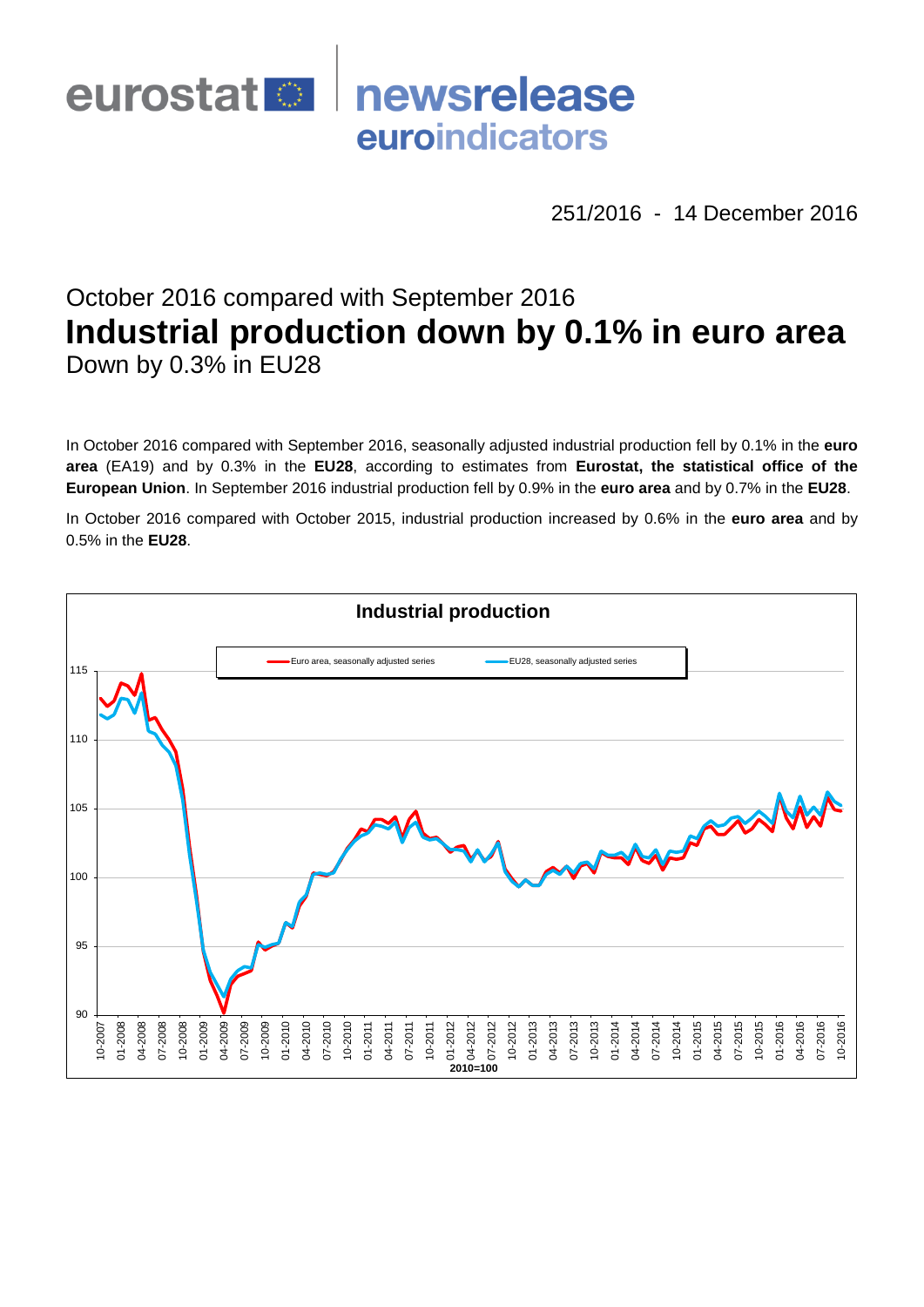

251/2016 - 14 December 2016

# October 2016 compared with September 2016 **Industrial production down by 0.1% in euro area** Down by 0.3% in EU28

In October 2016 compared with September 2016, seasonally adjusted industrial production fell by 0.1% in the **euro area** (EA19) and by 0.3% in the **EU28**, according to estimates from **Eurostat, the statistical office of the European Union**. In September 2016 industrial production fell by 0.9% in the **euro area** and by 0.7% in the **EU28**.

In October 2016 compared with October 2015, industrial production increased by 0.6% in the **euro area** and by 0.5% in the **EU28**.

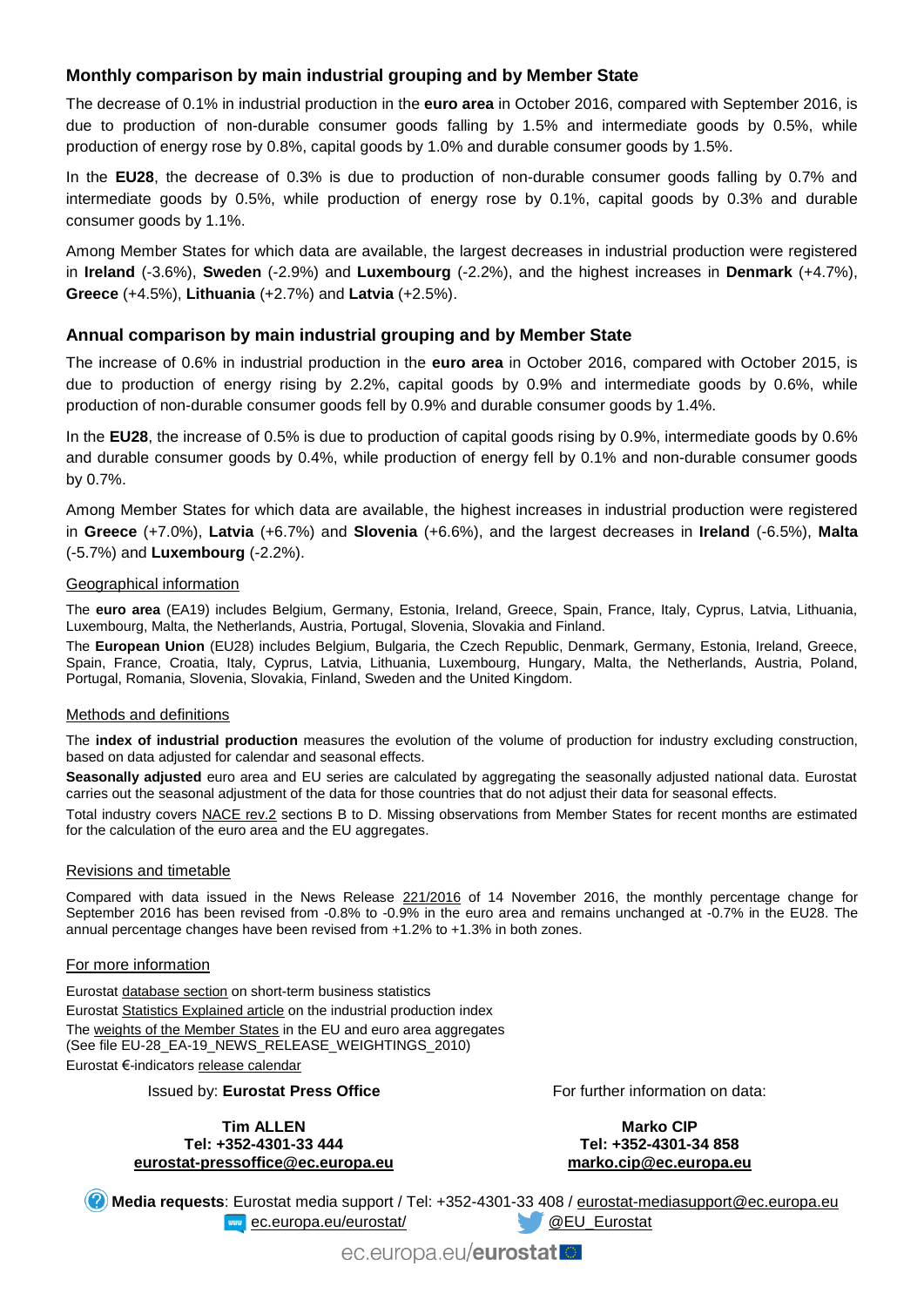## **Monthly comparison by main industrial grouping and by Member State**

The decrease of 0.1% in industrial production in the **euro area** in October 2016, compared with September 2016, is due to production of non-durable consumer goods falling by 1.5% and intermediate goods by 0.5%, while production of energy rose by 0.8%, capital goods by 1.0% and durable consumer goods by 1.5%.

In the **EU28**, the decrease of 0.3% is due to production of non-durable consumer goods falling by 0.7% and intermediate goods by 0.5%, while production of energy rose by 0.1%, capital goods by 0.3% and durable consumer goods by 1.1%.

Among Member States for which data are available, the largest decreases in industrial production were registered in **Ireland** (-3.6%), **Sweden** (-2.9%) and **Luxembourg** (-2.2%), and the highest increases in **Denmark** (+4.7%), **Greece** (+4.5%), **Lithuania** (+2.7%) and **Latvia** (+2.5%).

### **Annual comparison by main industrial grouping and by Member State**

The increase of 0.6% in industrial production in the **euro area** in October 2016, compared with October 2015, is due to production of energy rising by 2.2%, capital goods by 0.9% and intermediate goods by 0.6%, while production of non-durable consumer goods fell by 0.9% and durable consumer goods by 1.4%.

In the **EU28**, the increase of 0.5% is due to production of capital goods rising by 0.9%, intermediate goods by 0.6% and durable consumer goods by 0.4%, while production of energy fell by 0.1% and non-durable consumer goods by 0.7%.

Among Member States for which data are available, the highest increases in industrial production were registered in **Greece** (+7.0%), **Latvia** (+6.7%) and **Slovenia** (+6.6%), and the largest decreases in **Ireland** (-6.5%), **Malta** (-5.7%) and **Luxembourg** (-2.2%).

#### Geographical information

The **euro area** (EA19) includes Belgium, Germany, Estonia, Ireland, Greece, Spain, France, Italy, Cyprus, Latvia, Lithuania, Luxembourg, Malta, the Netherlands, Austria, Portugal, Slovenia, Slovakia and Finland.

The **European Union** (EU28) includes Belgium, Bulgaria, the Czech Republic, Denmark, Germany, Estonia, Ireland, Greece, Spain, France, Croatia, Italy, Cyprus, Latvia, Lithuania, Luxembourg, Hungary, Malta, the Netherlands, Austria, Poland, Portugal, Romania, Slovenia, Slovakia, Finland, Sweden and the United Kingdom.

#### Methods and definitions

The **index of industrial production** measures the evolution of the volume of production for industry excluding construction, based on data adjusted for calendar and seasonal effects.

**Seasonally adjusted** euro area and EU series are calculated by aggregating the seasonally adjusted national data. Eurostat carries out the seasonal adjustment of the data for those countries that do not adjust their data for seasonal effects.

Total industry covers [NACE rev.2](http://ec.europa.eu/eurostat/ramon/nomenclatures/index.cfm?TargetUrl=LST_NOM_DTL&StrNom=NACE_REV2&StrLanguageCode=EN&IntPcKey=&StrLayoutCode=HIERARCHIC) sections B to D. Missing observations from Member States for recent months are estimated for the calculation of the euro area and the EU aggregates.

#### Revisions and timetable

Compared with data issued in the News Release [221/2016](http://ec.europa.eu/eurostat/documents/2995521/7730737/4-14112016-AP-EN.pdf/a32d3d3c-bcc4-4865-ad0b-0453a6186945) of 14 November 2016, the monthly percentage change for September 2016 has been revised from -0.8% to -0.9% in the euro area and remains unchanged at -0.7% in the EU28. The annual percentage changes have been revised from +1.2% to +1.3% in both zones.

#### For more information

Eurosta[t database section](http://ec.europa.eu/eurostat/web/short-term-business-statistics/data/database) on short-term business statistics Eurosta[t Statistics Explained article](http://ec.europa.eu/eurostat/statistics-explained/index.php/Industrial_production_(volume)_index_overview) on the industrial production index Th[e weights of the Member States](https://circabc.europa.eu/w/browse/5e6d1e48-056c-4c6a-8278-3ab138bcf575) in the EU and euro area aggregates (See file EU-28\_EA-19\_NEWS\_RELEASE\_WEIGHTINGS\_2010) Eurostat €-indicator[s release calendar](http://ec.europa.eu/eurostat/news/release-calendar)

Issued by: **Eurostat Press Office**

**Tim ALLEN Tel: +352-4301-33 444 [eurostat-pressoffice@ec.europa.eu](mailto:eurostat-pressoffice@ec.europa.eu)** For further information on data:

**Marko CIP Tel: +352-4301-34 858 [marko.cip@ec.europa.eu](mailto:marko.cip@ec.europa.eu)**

**Media requests**: Eurostat media support / Tel: +352-4301-33 408 / [eurostat-mediasupport@ec.europa.eu](mailto:eurostat-mediasupport@ec.europa.eu) **EXAMPLE EXAMPLE 2018 CONTROLLER AND REVIEW CONTROLLER CONTROLLER AND REVIEW OF CONTROLLER AND REVIEW OF CONTROLLER AND REVIEW OF CONTROLLER AND REVIEW OF CONTROLLER AND REVIEW OF CONTROLLER AND REVIEW OF CONTROLLER AND RE** 

ec.europa.eu/eurostat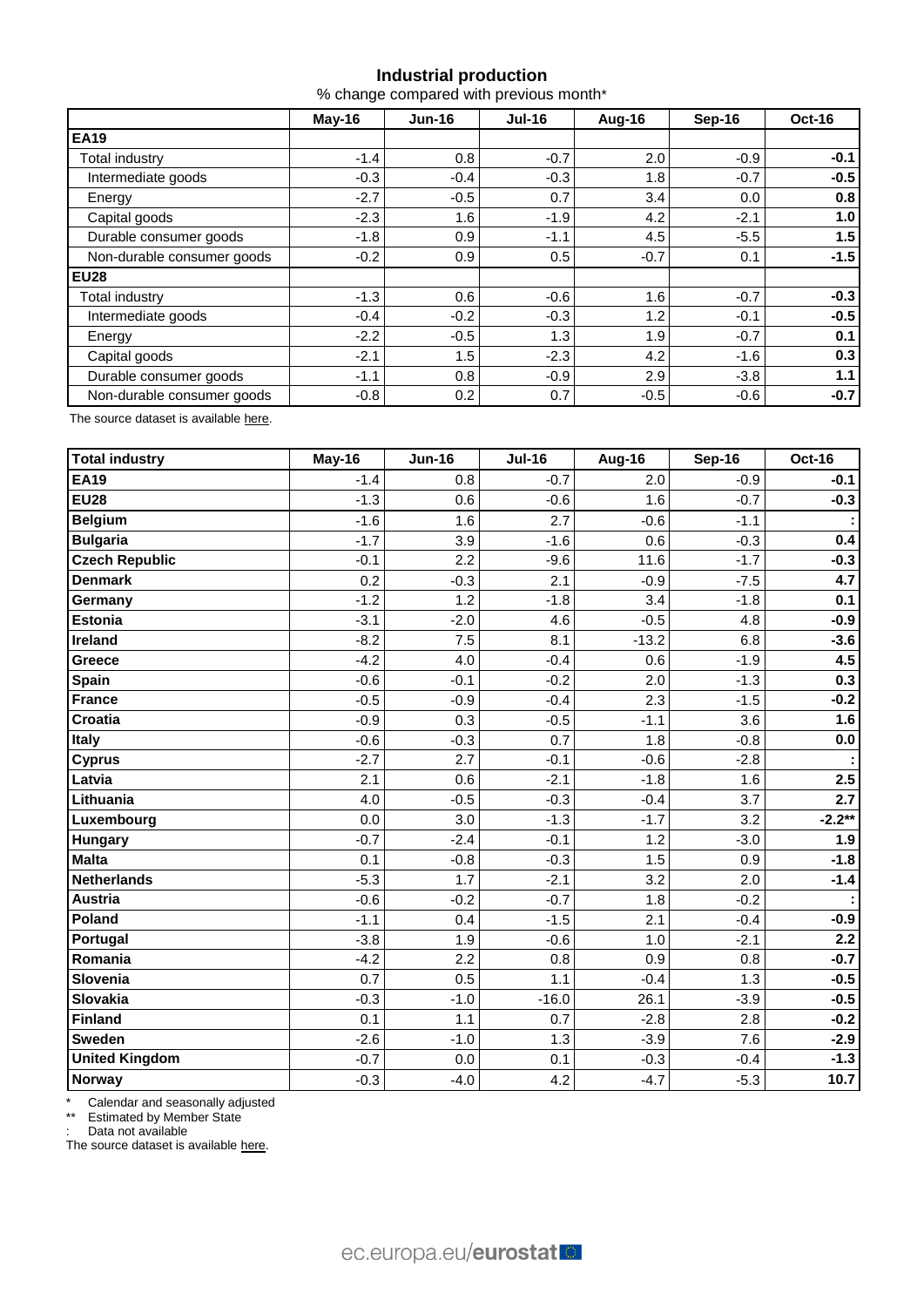## **Industrial production**

% change compared with previous month\*

|                            | $May-16$ | <b>Jun-16</b> | <b>Jul-16</b> | Aug-16 | Sep-16 | Oct-16 |  |
|----------------------------|----------|---------------|---------------|--------|--------|--------|--|
| <b>EA19</b>                |          |               |               |        |        |        |  |
| <b>Total industry</b>      | $-1.4$   | 0.8           | $-0.7$        | 2.0    | $-0.9$ | $-0.1$ |  |
| Intermediate goods         | $-0.3$   | $-0.4$        | $-0.3$        | 1.8    | $-0.7$ | $-0.5$ |  |
| Energy                     | $-2.7$   | $-0.5$        | 0.7           | 3.4    | 0.0    | 0.8    |  |
| Capital goods              | $-2.3$   | 1.6           | $-1.9$        | 4.2    | $-2.1$ | 1.0    |  |
| Durable consumer goods     | $-1.8$   | 0.9           | $-1.1$        | 4.5    | $-5.5$ | 1.5    |  |
| Non-durable consumer goods | $-0.2$   | 0.9           | 0.5           | $-0.7$ | 0.1    | $-1.5$ |  |
| <b>EU28</b>                |          |               |               |        |        |        |  |
| Total industry             | $-1.3$   | 0.6           | $-0.6$        | 1.6    | $-0.7$ | $-0.3$ |  |
| Intermediate goods         | $-0.4$   | $-0.2$        | $-0.3$        | 1.2    | $-0.1$ | $-0.5$ |  |
| Energy                     | $-2.2$   | $-0.5$        | 1.3           | 1.9    | $-0.7$ | 0.1    |  |
| Capital goods              | $-2.1$   | 1.5           | $-2.3$        | 4.2    | $-1.6$ | 0.3    |  |
| Durable consumer goods     | $-1.1$   | 0.8           | $-0.9$        | 2.9    | $-3.8$ | 1.1    |  |
| Non-durable consumer goods | $-0.8$   | 0.2           | 0.7           | $-0.5$ | $-0.6$ | $-0.7$ |  |

The source dataset is availabl[e here.](http://appsso.eurostat.ec.europa.eu/nui/show.do?query=BOOKMARK_DS-069583_QID_-53045BCF_UID_-3F171EB0&layout=TIME,C,X,0;GEO,L,Y,0;NACE_R2,L,Y,1;INDIC_BT,L,Z,0;S_ADJ,L,Z,1;UNIT,L,Z,2;INDICATORS,C,Z,3;&zSelection=DS-069583UNIT,PCH_PRE;DS-069583S_ADJ,SCA;DS-069583INDIC_BT,PROD;DS-069583INDICATORS,OBS_FLAG;&rankName1=UNIT_1_2_-1_2&rankName2=INDIC-BT_1_2_-1_2&rankName3=INDICATORS_1_2_-1_2&rankName4=S-ADJ_1_2_-1_2&rankName5=TIME_1_0_0_0&rankName6=GEO_1_0_0_1&rankName7=NACE-R2_1_2_1_1&sortR=ASC_-1_FIRST&sortC=ASC_-1_FIRST&rStp=&cStp=&rDCh=&cDCh=&rDM=true&cDM=true&footnes=false&empty=false&wai=false&time_mode=ROLLING&time_most_recent=true&lang=EN&cfo=%23%23%23%2C%23%23%23.%23%23%23)

| Total industry        | May-16 | <b>Jun-16</b> | <b>Jul-16</b> | Aug-16  | Sep-16 | <b>Oct-16</b>    |
|-----------------------|--------|---------------|---------------|---------|--------|------------------|
| <b>EA19</b>           | $-1.4$ | 0.8           | $-0.7$        | 2.0     | $-0.9$ | $-0.1$           |
| <b>EU28</b>           | $-1.3$ | 0.6           | $-0.6$        | 1.6     | $-0.7$ | $-0.3$           |
| <b>Belgium</b>        | $-1.6$ | 1.6           | 2.7           | $-0.6$  | $-1.1$ |                  |
| <b>Bulgaria</b>       | $-1.7$ | 3.9           | $-1.6$        | 0.6     | $-0.3$ | 0.4              |
| <b>Czech Republic</b> | $-0.1$ | 2.2           | $-9.6$        | 11.6    | $-1.7$ | $-0.3$           |
| <b>Denmark</b>        | 0.2    | $-0.3$        | 2.1           | $-0.9$  | $-7.5$ | 4.7              |
| Germany               | $-1.2$ | 1.2           | $-1.8$        | 3.4     | $-1.8$ | 0.1              |
| Estonia               | $-3.1$ | $-2.0$        | 4.6           | $-0.5$  | 4.8    | $-0.9$           |
| Ireland               | $-8.2$ | 7.5           | 8.1           | $-13.2$ | 6.8    | $-3.6$           |
| <b>Greece</b>         | $-4.2$ | 4.0           | $-0.4$        | 0.6     | $-1.9$ | 4.5              |
| Spain                 | $-0.6$ | $-0.1$        | $-0.2$        | 2.0     | $-1.3$ | 0.3              |
| <b>France</b>         | $-0.5$ | $-0.9$        | $-0.4$        | 2.3     | $-1.5$ | $-0.2$           |
| Croatia               | $-0.9$ | 0.3           | $-0.5$        | $-1.1$  | 3.6    | 1.6              |
| <b>Italy</b>          | $-0.6$ | $-0.3$        | 0.7           | 1.8     | $-0.8$ | $0.0\,$          |
| <b>Cyprus</b>         | $-2.7$ | 2.7           | $-0.1$        | $-0.6$  | $-2.8$ |                  |
| Latvia                | 2.1    | 0.6           | $-2.1$        | $-1.8$  | 1.6    | 2.5              |
| Lithuania             | 4.0    | $-0.5$        | $-0.3$        | $-0.4$  | 3.7    | $\overline{2.7}$ |
| Luxembourg            | 0.0    | 3.0           | $-1.3$        | $-1.7$  | 3.2    | $-2.2**$         |
| <b>Hungary</b>        | $-0.7$ | $-2.4$        | $-0.1$        | 1.2     | $-3.0$ | 1.9              |
| <b>Malta</b>          | 0.1    | $-0.8$        | $-0.3$        | 1.5     | 0.9    | $-1.8$           |
| <b>Netherlands</b>    | $-5.3$ | 1.7           | $-2.1$        | 3.2     | 2.0    | $-1.4$           |
| <b>Austria</b>        | $-0.6$ | $-0.2$        | $-0.7$        | 1.8     | $-0.2$ |                  |
| Poland                | $-1.1$ | 0.4           | $-1.5$        | 2.1     | $-0.4$ | $-0.9$           |
| Portugal              | $-3.8$ | 1.9           | $-0.6$        | 1.0     | $-2.1$ | 2.2              |
| Romania               | $-4.2$ | 2.2           | 0.8           | 0.9     | 0.8    | $-0.7$           |
| Slovenia              | 0.7    | 0.5           | 1.1           | $-0.4$  | 1.3    | $-0.5$           |
| Slovakia              | $-0.3$ | $-1.0$        | $-16.0$       | 26.1    | $-3.9$ | $-0.5$           |
| Finland               | 0.1    | 1.1           | 0.7           | $-2.8$  | 2.8    | $-0.2$           |
| <b>Sweden</b>         | $-2.6$ | $-1.0$        | 1.3           | $-3.9$  | 7.6    | $-2.9$           |
| <b>United Kingdom</b> | $-0.7$ | 0.0           | 0.1           | $-0.3$  | $-0.4$ | $-1.3$           |
| Norway                | $-0.3$ | $-4.0$        | 4.2           | $-4.7$  | $-5.3$ | 10.7             |

\* Calendar and seasonally adjusted

\*\* Estimated by Member State

: Data not available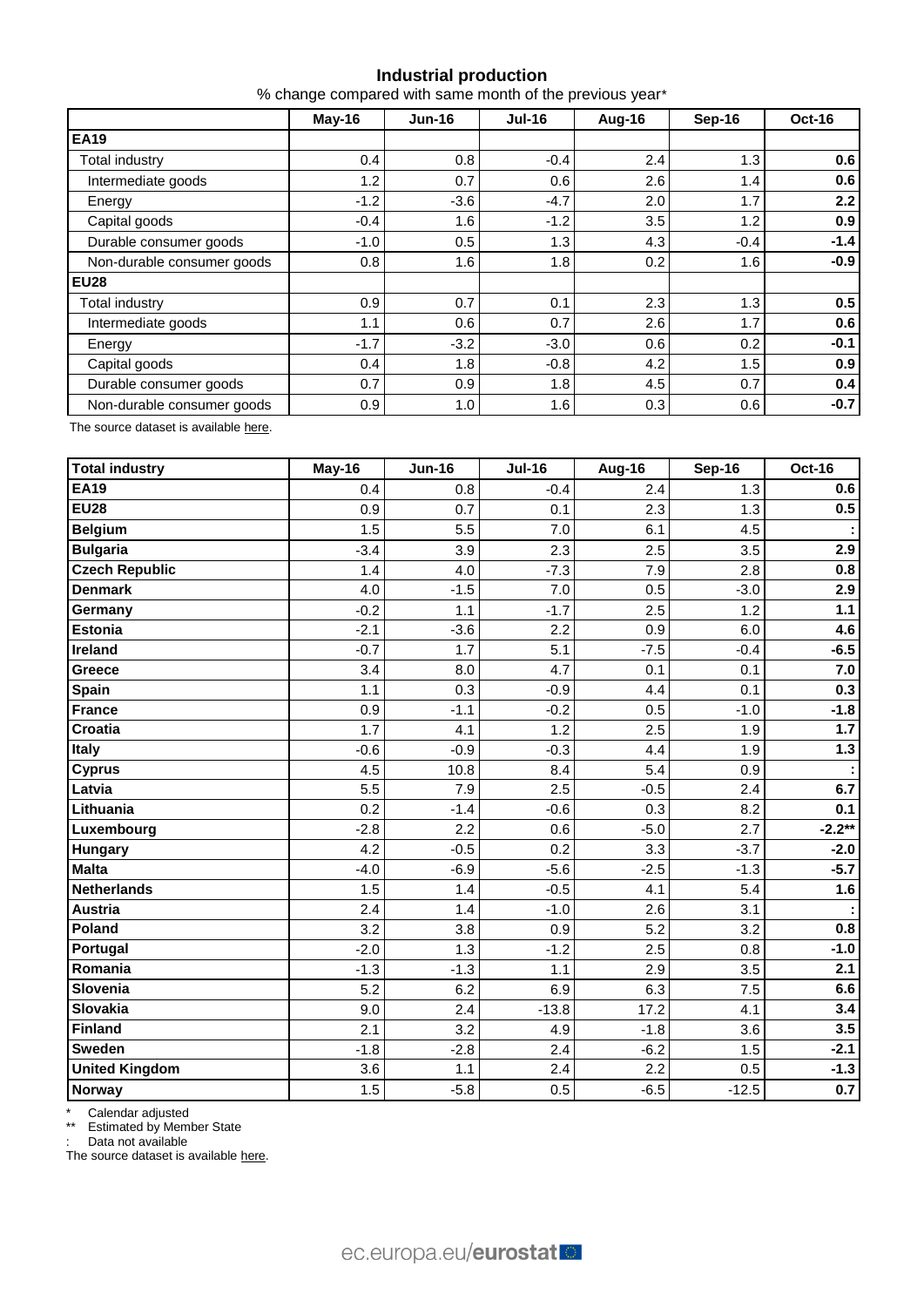## **Industrial production**

% change compared with same month of the previous year\*

|                            | $May-16$ | <b>Jun-16</b> | <b>Jul-16</b> | Aug-16 | Sep-16 | Oct-16 |  |
|----------------------------|----------|---------------|---------------|--------|--------|--------|--|
| <b>EA19</b>                |          |               |               |        |        |        |  |
| <b>Total industry</b>      | 0.4      | 0.8           | $-0.4$        | 2.4    | 1.3    | 0.6    |  |
| Intermediate goods         | 1.2      | 0.7           | 0.6           | 2.6    | 1.4    | 0.6    |  |
| Energy                     | $-1.2$   | $-3.6$        | $-4.7$        | 2.0    | 1.7    | 2.2    |  |
| Capital goods              | $-0.4$   | 1.6           | $-1.2$        | 3.5    | 1.2    | 0.9    |  |
| Durable consumer goods     | $-1.0$   | 0.5           | 1.3           | 4.3    | $-0.4$ | $-1.4$ |  |
| Non-durable consumer goods | 0.8      | 1.6           | 1.8           | 0.2    | 1.6    | $-0.9$ |  |
| <b>EU28</b>                |          |               |               |        |        |        |  |
| Total industry             | 0.9      | 0.7           | 0.1           | 2.3    | 1.3    | 0.5    |  |
| Intermediate goods         | 1.1      | 0.6           | 0.7           | 2.6    | 1.7    | 0.6    |  |
| Energy                     | $-1.7$   | $-3.2$        | $-3.0$        | 0.6    | 0.2    | $-0.1$ |  |
| Capital goods              | 0.4      | 1.8           | $-0.8$        | 4.2    | 1.5    | 0.9    |  |
| Durable consumer goods     | 0.7      | 0.9           | 1.8           | 4.5    | 0.7    | 0.4    |  |
| Non-durable consumer goods | 0.9      | 1.0           | 1.6           | 0.3    | 0.6    | $-0.7$ |  |

The source dataset is availabl[e here.](http://appsso.eurostat.ec.europa.eu/nui/show.do?query=BOOKMARK_DS-069583_QID_-628F3FF0_UID_-3F171EB0&layout=TIME,C,X,0;GEO,L,Y,0;NACE_R2,L,Y,1;INDIC_BT,L,Z,0;S_ADJ,L,Z,1;UNIT,L,Z,2;INDICATORS,C,Z,3;&zSelection=DS-069583UNIT,PCH_PRE;DS-069583S_ADJ,SCA;DS-069583INDIC_BT,PROD;DS-069583INDICATORS,OBS_FLAG;&rankName1=UNIT_1_2_-1_2&rankName2=INDIC-BT_1_2_-1_2&rankName3=INDICATORS_1_2_-1_2&rankName4=S-ADJ_1_2_-1_2&rankName5=TIME_1_0_0_0&rankName6=GEO_1_0_0_1&rankName7=NACE-R2_1_2_1_1&sortR=ASC_-1_FIRST&sortC=ASC_-1_FIRST&rStp=&cStp=&rDCh=&cDCh=&rDM=true&cDM=true&footnes=false&empty=false&wai=false&time_mode=ROLLING&time_most_recent=true&lang=EN&cfo=%23%23%23%2C%23%23%23.%23%23%23)

| <b>Total industry</b> | May-16 | <b>Jun-16</b> | <b>Jul-16</b> | Aug-16 | <b>Sep-16</b> | <b>Oct-16</b> |
|-----------------------|--------|---------------|---------------|--------|---------------|---------------|
| <b>EA19</b>           | 0.4    | 0.8           | $-0.4$        | 2.4    | 1.3           | 0.6           |
| <b>EU28</b>           | 0.9    | 0.7           | 0.1           | 2.3    | 1.3           | 0.5           |
| <b>Belgium</b>        | 1.5    | 5.5           | 7.0           | 6.1    | 4.5           |               |
| <b>Bulgaria</b>       | $-3.4$ | 3.9           | 2.3           | 2.5    | 3.5           | 2.9           |
| <b>Czech Republic</b> | 1.4    | 4.0           | $-7.3$        | 7.9    | 2.8           | 0.8           |
| <b>Denmark</b>        | 4.0    | $-1.5$        | 7.0           | 0.5    | $-3.0$        | 2.9           |
| Germany               | $-0.2$ | 1.1           | $-1.7$        | 2.5    | 1.2           | $1.1$         |
| <b>Estonia</b>        | $-2.1$ | $-3.6$        | 2.2           | 0.9    | 6.0           | 4.6           |
| <b>Ireland</b>        | $-0.7$ | 1.7           | 5.1           | $-7.5$ | $-0.4$        | $-6.5$        |
| Greece                | 3.4    | 8.0           | 4.7           | 0.1    | 0.1           | 7.0           |
| <b>Spain</b>          | 1.1    | 0.3           | $-0.9$        | 4.4    | 0.1           | 0.3           |
| <b>France</b>         | 0.9    | $-1.1$        | $-0.2$        | 0.5    | $-1.0$        | $-1.8$        |
| <b>Croatia</b>        | 1.7    | 4.1           | 1.2           | 2.5    | 1.9           | 1.7           |
| Italy                 | $-0.6$ | $-0.9$        | $-0.3$        | 4.4    | 1.9           | 1.3           |
| <b>Cyprus</b>         | 4.5    | 10.8          | 8.4           | 5.4    | 0.9           |               |
| Latvia                | 5.5    | 7.9           | 2.5           | $-0.5$ | 2.4           | 6.7           |
| Lithuania             | 0.2    | $-1.4$        | $-0.6$        | 0.3    | 8.2           | 0.1           |
| Luxembourg            | $-2.8$ | 2.2           | 0.6           | $-5.0$ | 2.7           | $-2.2**$      |
| Hungary               | 4.2    | $-0.5$        | 0.2           | 3.3    | $-3.7$        | $-2.0$        |
| <b>Malta</b>          | $-4.0$ | $-6.9$        | $-5.6$        | $-2.5$ | $-1.3$        | $-5.7$        |
| <b>Netherlands</b>    | 1.5    | 1.4           | $-0.5$        | 4.1    | 5.4           | 1.6           |
| <b>Austria</b>        | 2.4    | 1.4           | $-1.0$        | 2.6    | 3.1           |               |
| Poland                | 3.2    | 3.8           | 0.9           | 5.2    | 3.2           | 0.8           |
| Portugal              | $-2.0$ | 1.3           | $-1.2$        | 2.5    | 0.8           | $-1.0$        |
| Romania               | $-1.3$ | $-1.3$        | 1.1           | 2.9    | 3.5           | 2.1           |
| Slovenia              | 5.2    | 6.2           | 6.9           | 6.3    | 7.5           | 6.6           |
| <b>Slovakia</b>       | 9.0    | 2.4           | $-13.8$       | 17.2   | 4.1           | 3.4           |
| <b>Finland</b>        | 2.1    | 3.2           | 4.9           | $-1.8$ | 3.6           | 3.5           |
| <b>Sweden</b>         | $-1.8$ | $-2.8$        | 2.4           | $-6.2$ | 1.5           | $-2.1$        |
| <b>United Kingdom</b> | 3.6    | 1.1           | 2.4           | 2.2    | 0.5           | $-1.3$        |
| Norway                | 1.5    | $-5.8$        | 0.5           | $-6.5$ | $-12.5$       | 0.7           |

\* Calendar adjusted

\*\* Estimated by Member State

: Data not available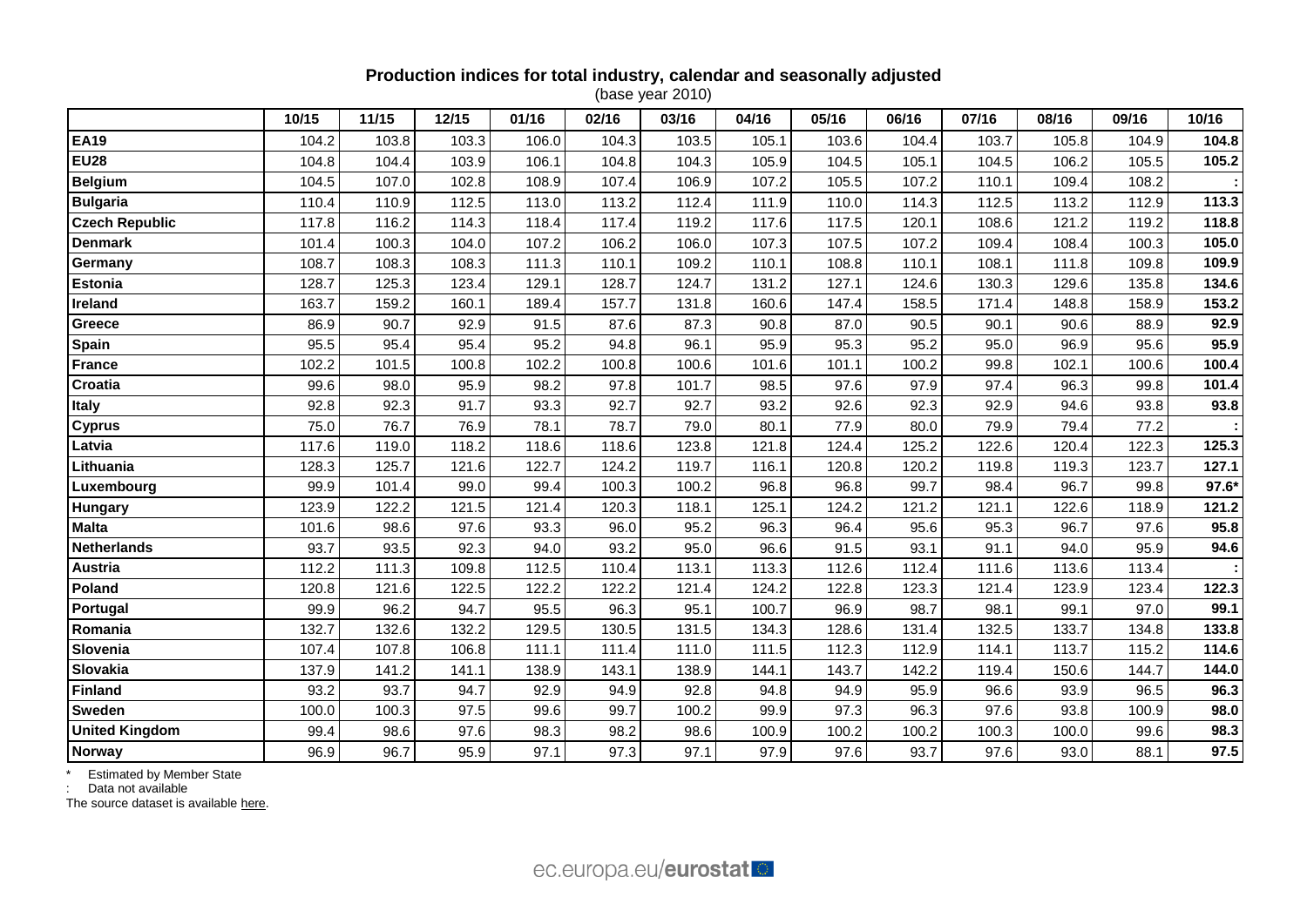## **Production indices for total industry, calendar and seasonally adjusted**

(base year 2010)

|                       | 10/15 | 11/15 | 12/15 | 01/16 | 02/16 | 03/16 | 04/16 | 05/16 | 06/16 | 07/16 | 08/16 | 09/16 | 10/16 |
|-----------------------|-------|-------|-------|-------|-------|-------|-------|-------|-------|-------|-------|-------|-------|
| <b>EA19</b>           | 104.2 | 103.8 | 103.3 | 106.0 | 104.3 | 103.5 | 105.1 | 103.6 | 104.4 | 103.7 | 105.8 | 104.9 | 104.8 |
| <b>EU28</b>           | 104.8 | 104.4 | 103.9 | 106.1 | 104.8 | 104.3 | 105.9 | 104.5 | 105.1 | 104.5 | 106.2 | 105.5 | 105.2 |
| <b>Belgium</b>        | 104.5 | 107.0 | 102.8 | 108.9 | 107.4 | 106.9 | 107.2 | 105.5 | 107.2 | 110.1 | 109.4 | 108.2 |       |
| <b>Bulgaria</b>       | 110.4 | 110.9 | 112.5 | 113.0 | 113.2 | 112.4 | 111.9 | 110.0 | 114.3 | 112.5 | 113.2 | 112.9 | 113.3 |
| <b>Czech Republic</b> | 117.8 | 116.2 | 114.3 | 118.4 | 117.4 | 119.2 | 117.6 | 117.5 | 120.1 | 108.6 | 121.2 | 119.2 | 118.8 |
| <b>Denmark</b>        | 101.4 | 100.3 | 104.0 | 107.2 | 106.2 | 106.0 | 107.3 | 107.5 | 107.2 | 109.4 | 108.4 | 100.3 | 105.0 |
| Germany               | 108.7 | 108.3 | 108.3 | 111.3 | 110.1 | 109.2 | 110.1 | 108.8 | 110.1 | 108.1 | 111.8 | 109.8 | 109.9 |
| <b>Estonia</b>        | 128.7 | 125.3 | 123.4 | 129.1 | 128.7 | 124.7 | 131.2 | 127.1 | 124.6 | 130.3 | 129.6 | 135.8 | 134.6 |
| Ireland               | 163.7 | 159.2 | 160.1 | 189.4 | 157.7 | 131.8 | 160.6 | 147.4 | 158.5 | 171.4 | 148.8 | 158.9 | 153.2 |
| Greece                | 86.9  | 90.7  | 92.9  | 91.5  | 87.6  | 87.3  | 90.8  | 87.0  | 90.5  | 90.1  | 90.6  | 88.9  | 92.9  |
| Spain                 | 95.5  | 95.4  | 95.4  | 95.2  | 94.8  | 96.1  | 95.9  | 95.3  | 95.2  | 95.0  | 96.9  | 95.6  | 95.9  |
| <b>France</b>         | 102.2 | 101.5 | 100.8 | 102.2 | 100.8 | 100.6 | 101.6 | 101.1 | 100.2 | 99.8  | 102.1 | 100.6 | 100.4 |
| Croatia               | 99.6  | 98.0  | 95.9  | 98.2  | 97.8  | 101.7 | 98.5  | 97.6  | 97.9  | 97.4  | 96.3  | 99.8  | 101.4 |
| <b>Italy</b>          | 92.8  | 92.3  | 91.7  | 93.3  | 92.7  | 92.7  | 93.2  | 92.6  | 92.3  | 92.9  | 94.6  | 93.8  | 93.8  |
| <b>Cyprus</b>         | 75.0  | 76.7  | 76.9  | 78.1  | 78.7  | 79.0  | 80.1  | 77.9  | 80.0  | 79.9  | 79.4  | 77.2  |       |
| Latvia                | 117.6 | 119.0 | 118.2 | 118.6 | 118.6 | 123.8 | 121.8 | 124.4 | 125.2 | 122.6 | 120.4 | 122.3 | 125.3 |
| Lithuania             | 128.3 | 125.7 | 121.6 | 122.7 | 124.2 | 119.7 | 116.1 | 120.8 | 120.2 | 119.8 | 119.3 | 123.7 | 127.1 |
| Luxembourg            | 99.9  | 101.4 | 99.0  | 99.4  | 100.3 | 100.2 | 96.8  | 96.8  | 99.7  | 98.4  | 96.7  | 99.8  | 97.6* |
| <b>Hungary</b>        | 123.9 | 122.2 | 121.5 | 121.4 | 120.3 | 118.1 | 125.1 | 124.2 | 121.2 | 121.1 | 122.6 | 118.9 | 121.2 |
| <b>Malta</b>          | 101.6 | 98.6  | 97.6  | 93.3  | 96.0  | 95.2  | 96.3  | 96.4  | 95.6  | 95.3  | 96.7  | 97.6  | 95.8  |
| <b>Netherlands</b>    | 93.7  | 93.5  | 92.3  | 94.0  | 93.2  | 95.0  | 96.6  | 91.5  | 93.1  | 91.1  | 94.0  | 95.9  | 94.6  |
| <b>Austria</b>        | 112.2 | 111.3 | 109.8 | 112.5 | 110.4 | 113.1 | 113.3 | 112.6 | 112.4 | 111.6 | 113.6 | 113.4 |       |
| Poland                | 120.8 | 121.6 | 122.5 | 122.2 | 122.2 | 121.4 | 124.2 | 122.8 | 123.3 | 121.4 | 123.9 | 123.4 | 122.3 |
| Portugal              | 99.9  | 96.2  | 94.7  | 95.5  | 96.3  | 95.1  | 100.7 | 96.9  | 98.7  | 98.1  | 99.1  | 97.0  | 99.1  |
| Romania               | 132.7 | 132.6 | 132.2 | 129.5 | 130.5 | 131.5 | 134.3 | 128.6 | 131.4 | 132.5 | 133.7 | 134.8 | 133.8 |
| Slovenia              | 107.4 | 107.8 | 106.8 | 111.1 | 111.4 | 111.0 | 111.5 | 112.3 | 112.9 | 114.1 | 113.7 | 115.2 | 114.6 |
| Slovakia              | 137.9 | 141.2 | 141.1 | 138.9 | 143.1 | 138.9 | 144.1 | 143.7 | 142.2 | 119.4 | 150.6 | 144.7 | 144.0 |
| <b>Finland</b>        | 93.2  | 93.7  | 94.7  | 92.9  | 94.9  | 92.8  | 94.8  | 94.9  | 95.9  | 96.6  | 93.9  | 96.5  | 96.3  |
| <b>Sweden</b>         | 100.0 | 100.3 | 97.5  | 99.6  | 99.7  | 100.2 | 99.9  | 97.3  | 96.3  | 97.6  | 93.8  | 100.9 | 98.0  |
| <b>United Kingdom</b> | 99.4  | 98.6  | 97.6  | 98.3  | 98.2  | 98.6  | 100.9 | 100.2 | 100.2 | 100.3 | 100.0 | 99.6  | 98.3  |
| <b>Norway</b>         | 96.9  | 96.7  | 95.9  | 97.1  | 97.3  | 97.1  | 97.9  | 97.6  | 93.7  | 97.6  | 93.0  | 88.1  | 97.5  |

\* Estimated by Member State

: Data not available